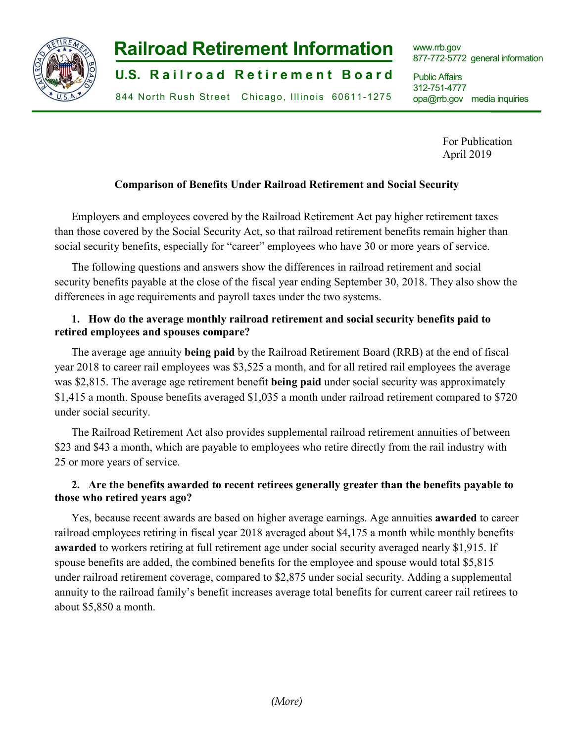

# **Railroad Retirement Information**

**U.S. Railroad Retirement Board** 

844 North Rush Street Chicago, Illinois 60611-1275

www.rrb.gov 877-772-5772 general information

Public Affairs 312-751-4777 opa@rrb.gov media inquiries

> For Publication April 2019

## **Comparison of Benefits Under Railroad Retirement and Social Security**

Employers and employees covered by the Railroad Retirement Act pay higher retirement taxes than those covered by the Social Security Act, so that railroad retirement benefits remain higher than social security benefits, especially for "career" employees who have 30 or more years of service.

The following questions and answers show the differences in railroad retirement and social security benefits payable at the close of the fiscal year ending September 30, 2018. They also show the differences in age requirements and payroll taxes under the two systems.

# **1. How do the average monthly railroad retirement and social security benefits paid to retired employees and spouses compare?**

The average age annuity **being paid** by the Railroad Retirement Board (RRB) at the end of fiscal year 2018 to career rail employees was \$3,525 a month, and for all retired rail employees the average was \$2,815. The average age retirement benefit **being paid** under social security was approximately \$1,415 a month. Spouse benefits averaged \$1,035 a month under railroad retirement compared to \$720 under social security.

The Railroad Retirement Act also provides supplemental railroad retirement annuities of between \$23 and \$43 a month, which are payable to employees who retire directly from the rail industry with 25 or more years of service.

# **2. Are the benefits awarded to recent retirees generally greater than the benefits payable to those who retired years ago?**

Yes, because recent awards are based on higher average earnings. Age annuities **awarded** to career railroad employees retiring in fiscal year 2018 averaged about \$4,175 a month while monthly benefits **awarded** to workers retiring at full retirement age under social security averaged nearly \$1,915. If spouse benefits are added, the combined benefits for the employee and spouse would total \$5,815 under railroad retirement coverage, compared to \$2,875 under social security. Adding a supplemental annuity to the railroad family's benefit increases average total benefits for current career rail retirees to about \$5,850 a month.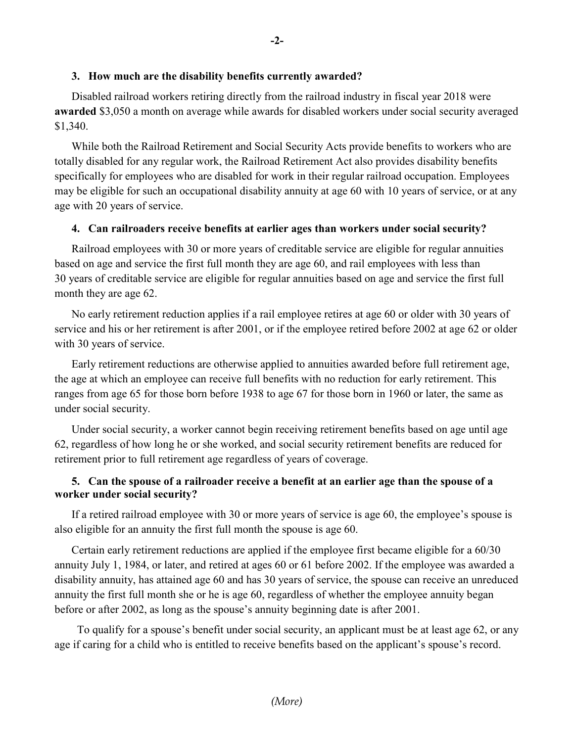#### **3. How much are the disability benefits currently awarded?**

Disabled railroad workers retiring directly from the railroad industry in fiscal year 2018 were **awarded** \$3,050 a month on average while awards for disabled workers under social security averaged \$1,340.

While both the Railroad Retirement and Social Security Acts provide benefits to workers who are totally disabled for any regular work, the Railroad Retirement Act also provides disability benefits specifically for employees who are disabled for work in their regular railroad occupation. Employees may be eligible for such an occupational disability annuity at age 60 with 10 years of service, or at any age with 20 years of service.

#### **4. Can railroaders receive benefits at earlier ages than workers under social security?**

Railroad employees with 30 or more years of creditable service are eligible for regular annuities based on age and service the first full month they are age 60, and rail employees with less than 30 years of creditable service are eligible for regular annuities based on age and service the first full month they are age 62.

No early retirement reduction applies if a rail employee retires at age 60 or older with 30 years of service and his or her retirement is after 2001, or if the employee retired before 2002 at age 62 or older with 30 years of service.

Early retirement reductions are otherwise applied to annuities awarded before full retirement age, the age at which an employee can receive full benefits with no reduction for early retirement. This ranges from age 65 for those born before 1938 to age 67 for those born in 1960 or later, the same as under social security.

Under social security, a worker cannot begin receiving retirement benefits based on age until age 62, regardless of how long he or she worked, and social security retirement benefits are reduced for retirement prior to full retirement age regardless of years of coverage.

### **5. Can the spouse of a railroader receive a benefit at an earlier age than the spouse of a worker under social security?**

If a retired railroad employee with 30 or more years of service is age 60, the employee's spouse is also eligible for an annuity the first full month the spouse is age 60.

Certain early retirement reductions are applied if the employee first became eligible for a 60/30 annuity July 1, 1984, or later, and retired at ages 60 or 61 before 2002. If the employee was awarded a disability annuity, has attained age 60 and has 30 years of service, the spouse can receive an unreduced annuity the first full month she or he is age 60, regardless of whether the employee annuity began before or after 2002, as long as the spouse's annuity beginning date is after 2001.

 To qualify for a spouse's benefit under social security, an applicant must be at least age 62, or any age if caring for a child who is entitled to receive benefits based on the applicant's spouse's record.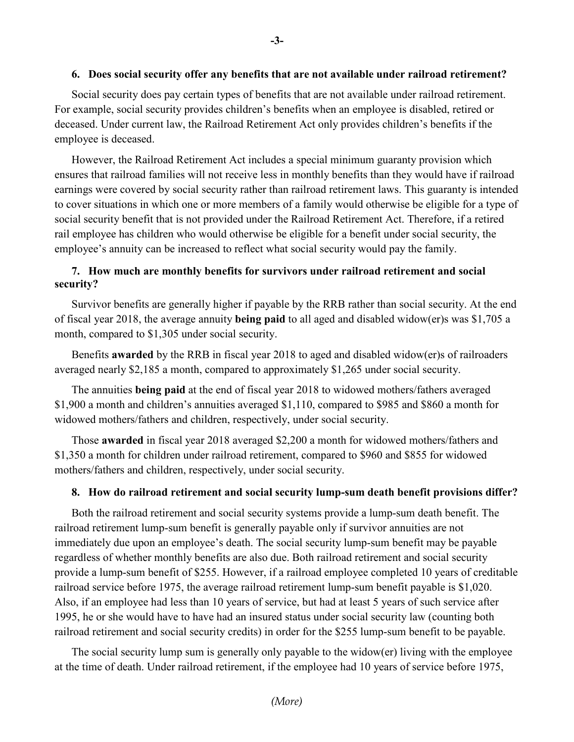#### **6. Does social security offer any benefits that are not available under railroad retirement?**

Social security does pay certain types of benefits that are not available under railroad retirement. For example, social security provides children's benefits when an employee is disabled, retired or deceased. Under current law, the Railroad Retirement Act only provides children's benefits if the employee is deceased.

However, the Railroad Retirement Act includes a special minimum guaranty provision which ensures that railroad families will not receive less in monthly benefits than they would have if railroad earnings were covered by social security rather than railroad retirement laws. This guaranty is intended to cover situations in which one or more members of a family would otherwise be eligible for a type of social security benefit that is not provided under the Railroad Retirement Act. Therefore, if a retired rail employee has children who would otherwise be eligible for a benefit under social security, the employee's annuity can be increased to reflect what social security would pay the family.

# **7. How much are monthly benefits for survivors under railroad retirement and social security?**

Survivor benefits are generally higher if payable by the RRB rather than social security. At the end of fiscal year 2018, the average annuity **being paid** to all aged and disabled widow(er)s was \$1,705 a month, compared to \$1,305 under social security.

Benefits **awarded** by the RRB in fiscal year 2018 to aged and disabled widow(er)s of railroaders averaged nearly \$2,185 a month, compared to approximately \$1,265 under social security.

The annuities **being paid** at the end of fiscal year 2018 to widowed mothers/fathers averaged \$1,900 a month and children's annuities averaged \$1,110, compared to \$985 and \$860 a month for widowed mothers/fathers and children, respectively, under social security.

Those **awarded** in fiscal year 2018 averaged \$2,200 a month for widowed mothers/fathers and \$1,350 a month for children under railroad retirement, compared to \$960 and \$855 for widowed mothers/fathers and children, respectively, under social security.

#### **8. How do railroad retirement and social security lump-sum death benefit provisions differ?**

Both the railroad retirement and social security systems provide a lump-sum death benefit. The railroad retirement lump-sum benefit is generally payable only if survivor annuities are not immediately due upon an employee's death. The social security lump-sum benefit may be payable regardless of whether monthly benefits are also due. Both railroad retirement and social security provide a lump-sum benefit of \$255. However, if a railroad employee completed 10 years of creditable railroad service before 1975, the average railroad retirement lump-sum benefit payable is \$1,020. Also, if an employee had less than 10 years of service, but had at least 5 years of such service after 1995, he or she would have to have had an insured status under social security law (counting both railroad retirement and social security credits) in order for the \$255 lump-sum benefit to be payable.

The social security lump sum is generally only payable to the widow(er) living with the employee at the time of death. Under railroad retirement, if the employee had 10 years of service before 1975,